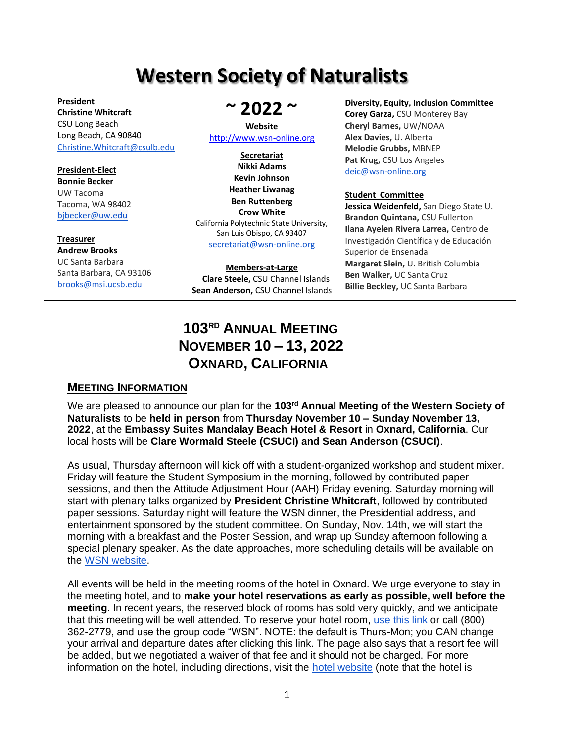# **Western Society of Naturalists**

**President Christine Whitcraft** CSU Long Beach Long Beach, CA 90840 [Christine.Whitcraft@csulb.edu](mailto:Christine.Whitcraft@csulb.edu)

#### **President-Elect Bonnie Becker** UW Tacoma Tacoma, WA 98402 [bjbecker@uw.edu](mailto:bjbecker@uw.edu)

# **Treasurer Andrew Brooks** UC Santa Barbara

Santa Barbara, CA 93106 [brooks@msi.ucsb.edu](mailto:brooks@msi.ucsb.edu)

# **~ 2022 ~**

#### **Website** [http://www.wsn-online.org](http://www.wsn-online.org/)

**Secretariat Nikki Adams Kevin Johnson Heather Liwanag Ben Ruttenberg Crow White** California Polytechnic State University, San Luis Obispo, CA 93407 [secretariat@wsn-online.org](mailto:secretariat@wsn-online.org)

#### **Members-at-Large Clare Steele,** CSU Channel Islands **Sean Anderson,** CSU Channel Islands

#### **Diversity, Equity, Inclusion Committee**

**Corey Garza,** CSU Monterey Bay **Cheryl Barnes,** UW/NOAA **Alex Davies,** U. Alberta **Melodie Grubbs,** MBNEP **Pat Krug,** CSU Los Angeles [deic@wsn-online.org](mailto:deic@wsn-online.org)

#### **Student Committee**

**Jessica Weidenfeld,** San Diego State U. **Brandon Quintana,** CSU Fullerton **Ilana Ayelen Rivera Larrea,** Centro de Investigación Científica y de Educación Superior de Ensenada **Margaret Slein,** U. British Columbia **Ben Walker,** UC Santa Cruz **Billie Beckley,** UC Santa Barbara

# **<sup>103</sup>RD <sup>A</sup>NNUAL MEETING <sup>N</sup>OVEMBER <sup>10</sup> – 13, <sup>2022</sup> <sup>O</sup>XNARD, <sup>C</sup>ALIFORNIA**

#### **MEETING INFORMATION**

We are pleased to announce our plan for the **103rd Annual Meeting of the Western Society of Naturalists** to be **held in person** from **Thursday November 10 – Sunday November 13, 2022**, at the **Embassy Suites Mandalay Beach Hotel & Resort** in **Oxnard, California**. Our local hosts will be **Clare Wormald Steele (CSUCI) and Sean Anderson (CSUCI)**.

As usual, Thursday afternoon will kick off with a student-organized workshop and student mixer. Friday will feature the Student Symposium in the morning, followed by contributed paper sessions, and then the Attitude Adjustment Hour (AAH) Friday evening. Saturday morning will start with plenary talks organized by **President Christine Whitcraft**, followed by contributed paper sessions. Saturday night will feature the WSN dinner, the Presidential address, and entertainment sponsored by the student committee. On Sunday, Nov. 14th, we will start the morning with a breakfast and the Poster Session, and wrap up Sunday afternoon following a special plenary speaker. As the date approaches, more scheduling details will be available on the [WSN website.](http://www.wsn-online.org/)

All events will be held in the meeting rooms of the hotel in Oxnard. We urge everyone to stay in the meeting hotel, and to **make your hotel reservations as early as possible, well before the meeting**. In recent years, the reserved block of rooms has sold very quickly, and we anticipate that this meeting will be well attended. To reserve your hotel room, [use this link](https://nam02.safelinks.protection.outlook.com/?url=https%3A%2F%2Fwww.hilton.com%2Fen%2Fbook%2Freservation%2Fdeeplink%2F%3Fctyhocn%3DSBAZDQQ%26groupCode%3DWSN%26arrivaldate%3D2022-11-10%26departuredate%3D2022-11-14%26cid%3DOM%2CWW%2CHILTONLINK%2CEN%2CDirectLink%26fromId%3DHILTONLINKDIRECT&data=04%7C01%7CMayra.Ruiz%40Hilton.com%7C4ec867fadf974f1bacee08d9eff13351%7C660292d2cfd54a3db7a7e8f7ee458a0a%7C0%7C0%7C637804641484293305%7CUnknown%7CTWFpbGZsb3d8eyJWIjoiMC4wLjAwMDAiLCJQIjoiV2luMzIiLCJBTiI6Ik1haWwiLCJXVCI6Mn0%3D%7C3000&sdata=OiFlknLX1xSbk7vFew6HoAKzuFwu79OGmp%2BNHFr%2FNCw%3D&reserved=0) or call (800) 362-2779, and use the group code "WSN". NOTE: the default is Thurs-Mon; you CAN change your arrival and departure dates after clicking this link. The page also says that a resort fee will be added, but we negotiated a waiver of that fee and it should not be charged. For more information on the hotel, including directions, visit the [hotel website](https://www.hilton.com/en/hotels/sbazdqq-zachari-dunes-on-mandalay-beach/) (note that the hotel is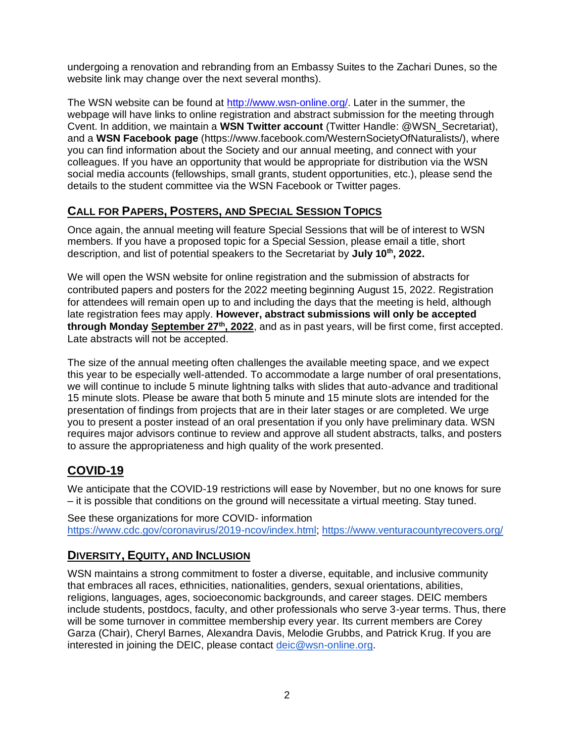undergoing a renovation and rebranding from an Embassy Suites to the Zachari Dunes, so the website link may change over the next several months).

The WSN website can be found at [http://www.wsn-online.org/.](http://www.wsn-online.org/) Later in the summer, the webpage will have links to online registration and abstract submission for the meeting through Cvent. In addition, we maintain a **WSN Twitter account** (Twitter Handle: @WSN\_Secretariat), and a **WSN Facebook page** (https://www.facebook.com/WesternSocietyOfNaturalists/), where you can find information about the Society and our annual meeting, and connect with your colleagues. If you have an opportunity that would be appropriate for distribution via the WSN social media accounts (fellowships, small grants, student opportunities, etc.), please send the details to the student committee via the WSN Facebook or Twitter pages.

# **CALL FOR PAPERS, POSTERS, AND SPECIAL SESSION TOPICS**

Once again, the annual meeting will feature Special Sessions that will be of interest to WSN members. If you have a proposed topic for a Special Session, please email a title, short description, and list of potential speakers to the Secretariat by **July 10th, 2022.**

We will open the WSN website for online registration and the submission of abstracts for contributed papers and posters for the 2022 meeting beginning August 15, 2022. Registration for attendees will remain open up to and including the days that the meeting is held, although late registration fees may apply. **However, abstract submissions will only be accepted through Monday September 27th, 2022**, and as in past years, will be first come, first accepted. Late abstracts will not be accepted.

The size of the annual meeting often challenges the available meeting space, and we expect this year to be especially well-attended. To accommodate a large number of oral presentations, we will continue to include 5 minute lightning talks with slides that auto-advance and traditional 15 minute slots. Please be aware that both 5 minute and 15 minute slots are intended for the presentation of findings from projects that are in their later stages or are completed. We urge you to present a poster instead of an oral presentation if you only have preliminary data. WSN requires major advisors continue to review and approve all student abstracts, talks, and posters to assure the appropriateness and high quality of the work presented.

# **COVID-19**

We anticipate that the COVID-19 restrictions will ease by November, but no one knows for sure – it is possible that conditions on the ground will necessitate a virtual meeting. Stay tuned.

See these organizations for more COVID- information [https://www.cdc.gov/coronavirus/2019-ncov/index.html;](https://www.cdc.gov/coronavirus/2019-ncov/index.html)<https://www.venturacountyrecovers.org/>

## **DIVERSITY, EQUITY, AND INCLUSION**

WSN maintains a strong commitment to foster a diverse, equitable, and inclusive community that embraces all races, ethnicities, nationalities, genders, sexual orientations, abilities, religions, languages, ages, socioeconomic backgrounds, and career stages. DEIC members include students, postdocs, faculty, and other professionals who serve 3-year terms. Thus, there will be some turnover in committee membership every year. Its current members are Corey Garza (Chair), Cheryl Barnes, Alexandra Davis, Melodie Grubbs, and Patrick Krug. If you are interested in joining the DEIC, please contact [deic@wsn-online.org.](mailto:deic@wsn-online.org)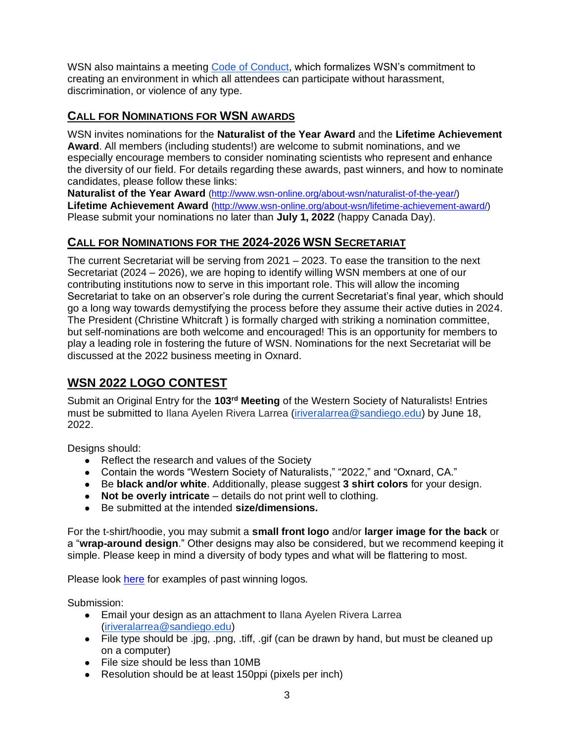WSN also maintains a meeting [Code of Conduct,](https://www.wsn-online.org/code-of-conduct/) which formalizes WSN's commitment to creating an environment in which all attendees can participate without harassment, discrimination, or violence of any type.

# **CALL FOR NOMINATIONS FOR WSN AWARDS**

WSN invites nominations for the **Naturalist of the Year Award** and the **Lifetime Achievement Award**. All members (including students!) are welcome to submit nominations, and we especially encourage members to consider nominating scientists who represent and enhance the diversity of our field. For details regarding these awards, past winners, and how to nominate candidates, please follow these links:

**Naturalist of the Year Award** [\(http://www.wsn-online.org/about-wsn/naturalist-of-the-year/\)](http://www.wsn-online.org/about-wsn/naturalist-of-the-year/) **Lifetime Achievement Award** [\(http://www.wsn-online.org/about-wsn/lifetime-achievement-award/\)](http://www.wsn-online.org/about-wsn/lifetime-achievement-award/) Please submit your nominations no later than **July 1, 2022** (happy Canada Day).

# **CALL FOR NOMINATIONS FOR THE 2024-2026 WSN SECRETARIAT**

The current Secretariat will be serving from 2021 – 2023. To ease the transition to the next Secretariat (2024 – 2026), we are hoping to identify willing WSN members at one of our contributing institutions now to serve in this important role. This will allow the incoming Secretariat to take on an observer's role during the current Secretariat's final year, which should go a long way towards demystifying the process before they assume their active duties in 2024. The President (Christine Whitcraft ) is formally charged with striking a nomination committee, but self-nominations are both welcome and encouraged! This is an opportunity for members to play a leading role in fostering the future of WSN. Nominations for the next Secretariat will be discussed at the 2022 business meeting in Oxnard.

# **WSN 2022 LOGO CONTEST**

Submit an Original Entry for the 103<sup>rd</sup> Meeting of the Western Society of Naturalists! Entries must be submitted to Ilana Ayelen Rivera Larrea [\(iriveralarrea@sandiego.edu\)](mailto:iriveralarrea@sandiego.edu) by June 18, 2022.

Designs should:

- Reflect the research and values of the Society
- Contain the words "Western Society of Naturalists," "2022," and "Oxnard, CA."
- Be **black and/or white**. Additionally, please suggest **3 shirt colors** for your design.
- **Not be overly intricate** details do not print well to clothing.
- Be submitted at the intended **size/dimensions.**

For the t-shirt/hoodie, you may submit a **small front logo** and/or **larger image for the back** or a "**wrap-around design**." Other designs may also be considered, but we recommend keeping it simple. Please keep in mind a diversity of body types and what will be flattering to most.

Please look [here](https://docs.google.com/document/d/1gQJ0NriDk5_QwnX2-wg9PapRwYlL4QZ5DD-0e5Pk51s/edit?usp=sharing) for examples of past winning logos.

Submission:

- Email your design as an attachment to Ilana Ayelen Rivera Larrea [\(iriveralarrea@sandiego.edu\)](mailto:iriveralarrea@sandiego.edu)
- File type should be .jpg, .png, .tiff, .gif (can be drawn by hand, but must be cleaned up on a computer)
- File size should be less than 10MB
- Resolution should be at least 150ppi (pixels per inch)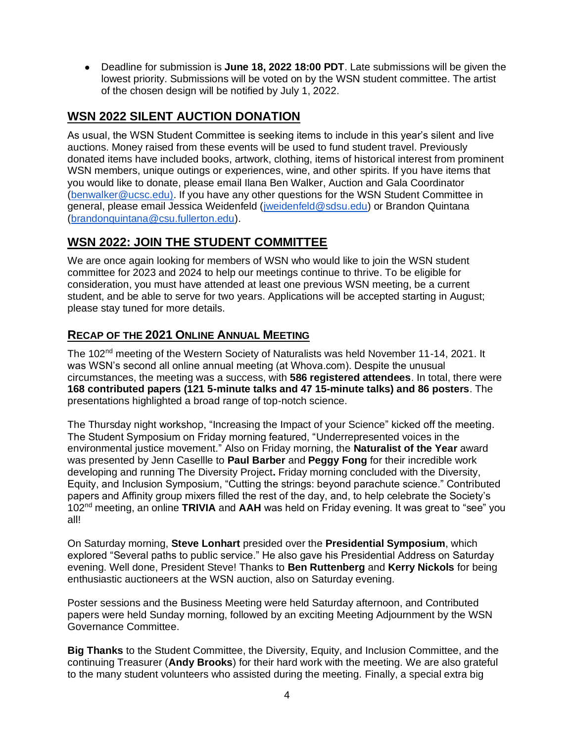● Deadline for submission is **June 18, 2022 18:00 PDT**. Late submissions will be given the lowest priority. Submissions will be voted on by the WSN student committee. The artist of the chosen design will be notified by July 1, 2022.

# **WSN 2022 SILENT AUCTION DONATION**

As usual, the WSN Student Committee is seeking items to include in this year's silent and live auctions. Money raised from these events will be used to fund student travel. Previously donated items have included books, artwork, clothing, items of historical interest from prominent WSN members, unique outings or experiences, wine, and other spirits. If you have items that you would like to donate, please email Ilana Ben Walker, Auction and Gala Coordinator [\(benwalker@ucsc.edu\).](mailto:benwalker@ucsc.edu) If you have any other questions for the WSN Student Committee in general, please email Jessica Weidenfeld [\(jweidenfeld@sdsu.edu\)](mailto:jweidenfeld@sdsu.edu) or Brandon Quintana [\(brandonquintana@csu.fullerton.edu\)](mailto:brandonquintana@csu.fullerton.edu).

# **WSN 2022: JOIN THE STUDENT COMMITTEE**

We are once again looking for members of WSN who would like to join the WSN student committee for 2023 and 2024 to help our meetings continue to thrive. To be eligible for consideration, you must have attended at least one previous WSN meeting, be a current student, and be able to serve for two years. Applications will be accepted starting in August; please stay tuned for more details.

# **RECAP OF THE 2021 ONLINE ANNUAL MEETING**

The 102<sup>nd</sup> meeting of the Western Society of Naturalists was held November 11-14, 2021. It was WSN's second all online annual meeting (at Whova.com). Despite the unusual circumstances, the meeting was a success, with **586 registered attendees**. In total, there were **168 contributed papers (121 5-minute talks and 47 15-minute talks) and 86 posters**. The presentations highlighted a broad range of top-notch science.

The Thursday night workshop, "Increasing the Impact of your Science" kicked off the meeting. The Student Symposium on Friday morning featured, "Underrepresented voices in the environmental justice movement." Also on Friday morning, the **Naturalist of the Year** award was presented by Jenn Casellle to **Paul Barber** and **Peggy Fong** for their incredible work developing and running The Diversity Project**.** Friday morning concluded with the Diversity, Equity, and Inclusion Symposium, "Cutting the strings: beyond parachute science." Contributed papers and Affinity group mixers filled the rest of the day, and, to help celebrate the Society's 102nd meeting, an online **TRIVIA** and **AAH** was held on Friday evening. It was great to "see" you all!

On Saturday morning, **Steve Lonhart** presided over the **Presidential Symposium**, which explored "Several paths to public service." He also gave his Presidential Address on Saturday evening. Well done, President Steve! Thanks to **Ben Ruttenberg** and **Kerry Nickols** for being enthusiastic auctioneers at the WSN auction, also on Saturday evening.

Poster sessions and the Business Meeting were held Saturday afternoon, and Contributed papers were held Sunday morning, followed by an exciting Meeting Adjournment by the WSN Governance Committee.

**Big Thanks** to the Student Committee, the Diversity, Equity, and Inclusion Committee, and the continuing Treasurer (**Andy Brooks**) for their hard work with the meeting. We are also grateful to the many student volunteers who assisted during the meeting. Finally, a special extra big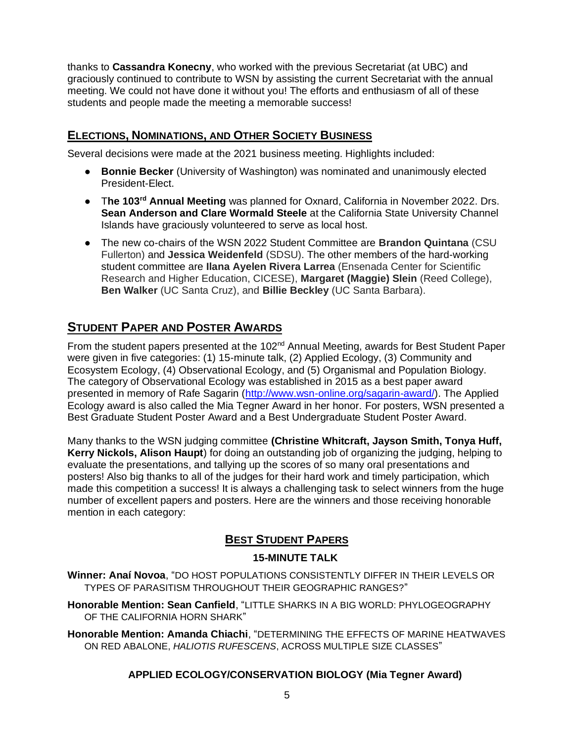thanks to **Cassandra Konecny**, who worked with the previous Secretariat (at UBC) and graciously continued to contribute to WSN by assisting the current Secretariat with the annual meeting. We could not have done it without you! The efforts and enthusiasm of all of these students and people made the meeting a memorable success!

### **ELECTIONS, NOMINATIONS, AND OTHER SOCIETY BUSINESS**

Several decisions were made at the 2021 business meeting. Highlights included:

- **Bonnie Becker** (University of Washington) was nominated and unanimously elected President-Elect.
- T**he 103rd Annual Meeting** was planned for Oxnard, California in November 2022. Drs. **Sean Anderson and Clare Wormald Steele** at the California State University Channel Islands have graciously volunteered to serve as local host.
- The new co-chairs of the WSN 2022 Student Committee are **Brandon Quintana** (CSU Fullerton) and **Jessica Weidenfeld** (SDSU). The other members of the hard-working student committee are **Ilana Ayelen Rivera Larrea** (Ensenada Center for Scientific Research and Higher Education, CICESE), **Margaret (Maggie) Slein** (Reed College), **Ben Walker** (UC Santa Cruz), and **Billie Beckley** (UC Santa Barbara).

# **STUDENT PAPER AND POSTER AWARDS**

From the student papers presented at the 102<sup>nd</sup> Annual Meeting, awards for Best Student Paper were given in five categories: (1) 15-minute talk, (2) Applied Ecology, (3) Community and Ecosystem Ecology, (4) Observational Ecology, and (5) Organismal and Population Biology. The category of Observational Ecology was established in 2015 as a best paper award presented in memory of Rafe Sagarin [\(http://www.wsn-online.org/sagarin-award/\)](http://www.wsn-online.org/sagarin-award/). The Applied Ecology award is also called the Mia Tegner Award in her honor. For posters, WSN presented a Best Graduate Student Poster Award and a Best Undergraduate Student Poster Award.

Many thanks to the WSN judging committee **(Christine Whitcraft, Jayson Smith, Tonya Huff, Kerry Nickols, Alison Haupt**) for doing an outstanding job of organizing the judging, helping to evaluate the presentations, and tallying up the scores of so many oral presentations and posters! Also big thanks to all of the judges for their hard work and timely participation, which made this competition a success! It is always a challenging task to select winners from the huge number of excellent papers and posters. Here are the winners and those receiving honorable mention in each category:

## **BEST STUDENT PAPERS**

#### **15-MINUTE TALK**

**Winner: Anaí Novoa**, "DO HOST POPULATIONS CONSISTENTLY DIFFER IN THEIR LEVELS OR TYPES OF PARASITISM THROUGHOUT THEIR GEOGRAPHIC RANGES?"

**Honorable Mention: Sean Canfield**, "LITTLE SHARKS IN A BIG WORLD: PHYLOGEOGRAPHY OF THE CALIFORNIA HORN SHARK"

**Honorable Mention: Amanda Chiachi**, "DETERMINING THE EFFECTS OF MARINE HEATWAVES ON RED ABALONE, *HALIOTIS RUFESCENS*, ACROSS MULTIPLE SIZE CLASSES"

#### **APPLIED ECOLOGY/CONSERVATION BIOLOGY (Mia Tegner Award)**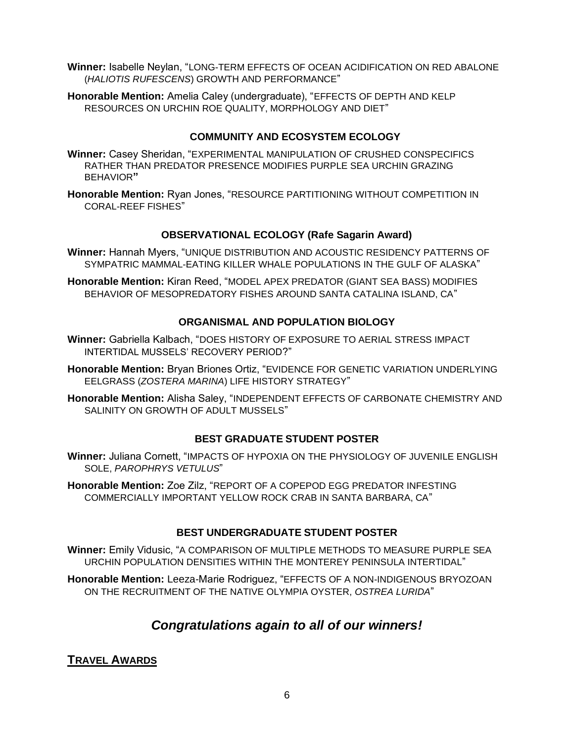- **Winner:** Isabelle Neylan, "LONG-TERM EFFECTS OF OCEAN ACIDIFICATION ON RED ABALONE (*HALIOTIS RUFESCENS*) GROWTH AND PERFORMANCE"
- **Honorable Mention:** Amelia Caley (undergraduate), "EFFECTS OF DEPTH AND KELP RESOURCES ON URCHIN ROE QUALITY, MORPHOLOGY AND DIET"

#### **COMMUNITY AND ECOSYSTEM ECOLOGY**

- **Winner:** Casey Sheridan, "EXPERIMENTAL MANIPULATION OF CRUSHED CONSPECIFICS RATHER THAN PREDATOR PRESENCE MODIFIES PURPLE SEA URCHIN GRAZING BEHAVIOR**"**
- **Honorable Mention:** Ryan Jones, "RESOURCE PARTITIONING WITHOUT COMPETITION IN CORAL-REEF FISHES"

#### **OBSERVATIONAL ECOLOGY (Rafe Sagarin Award)**

- **Winner:** Hannah Myers, "UNIQUE DISTRIBUTION AND ACOUSTIC RESIDENCY PATTERNS OF SYMPATRIC MAMMAL-EATING KILLER WHALE POPULATIONS IN THE GULF OF ALASKA"
- **Honorable Mention:** Kiran Reed, "MODEL APEX PREDATOR (GIANT SEA BASS) MODIFIES BEHAVIOR OF MESOPREDATORY FISHES AROUND SANTA CATALINA ISLAND, CA"

#### **ORGANISMAL AND POPULATION BIOLOGY**

- **Winner:** Gabriella Kalbach, "DOES HISTORY OF EXPOSURE TO AERIAL STRESS IMPACT INTERTIDAL MUSSELS' RECOVERY PERIOD?"
- **Honorable Mention:** Bryan Briones Ortiz, "EVIDENCE FOR GENETIC VARIATION UNDERLYING EELGRASS (*ZOSTERA MARINA*) LIFE HISTORY STRATEGY"
- **Honorable Mention:** Alisha Saley, "INDEPENDENT EFFECTS OF CARBONATE CHEMISTRY AND SALINITY ON GROWTH OF ADULT MUSSELS"

#### **BEST GRADUATE STUDENT POSTER**

- **Winner:** Juliana Cornett, "IMPACTS OF HYPOXIA ON THE PHYSIOLOGY OF JUVENILE ENGLISH SOLE, *PAROPHRYS VETULUS*"
- **Honorable Mention:** Zoe Zilz, "REPORT OF A COPEPOD EGG PREDATOR INFESTING COMMERCIALLY IMPORTANT YELLOW ROCK CRAB IN SANTA BARBARA, CA"

#### **BEST UNDERGRADUATE STUDENT POSTER**

**Winner:** Emily Vidusic, "A COMPARISON OF MULTIPLE METHODS TO MEASURE PURPLE SEA URCHIN POPULATION DENSITIES WITHIN THE MONTEREY PENINSULA INTERTIDAL"

**Honorable Mention:** Leeza-Marie Rodriguez, "EFFECTS OF A NON-INDIGENOUS BRYOZOAN ON THE RECRUITMENT OF THE NATIVE OLYMPIA OYSTER, *OSTREA LURIDA*"

# *Congratulations again to all of our winners!*

#### **TRAVEL AWARDS**